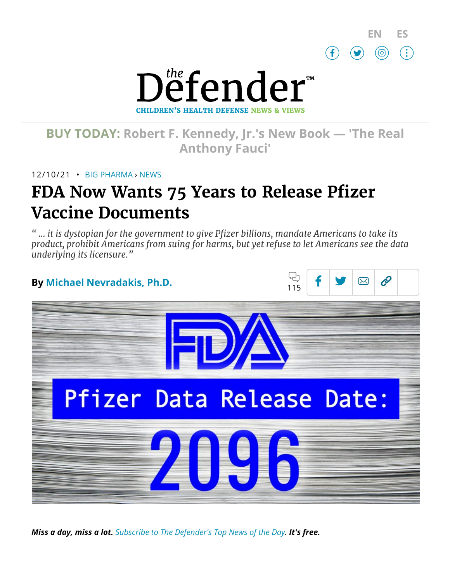



# **BUY TODAY: Robert F. [Kennedy,](https://www.amazon.com/Real-Anthony-Fauci-Democracy-Childrens/dp/1510766804) Jr.'s New Book — 'The Real Anthony Fauci'**

12/10/21 • BIG [PHARMA](https://childrenshealthdefense.org/defender_category/big-pharma) › [NEWS](https://childrenshealthdefense.org/defender-news)

# **FDA Now Wants 75 Years to Release Pfizer Vaccine Documents**

*" … it is dystopian for the government to give Pfizer billions, mandate Americans to take its product, prohibit Americans from suing for harms, but yet refuse to let Americans see the data underlying its licensure."*



*Miss a day, miss a lot. Subscribe to [The Defender's](https://childrenshealthdefense.org/about-us/sign-up/?utm_source=top_of_article&utm_medium=the_defender&utm_campaign=sign_ups) Top News of the Day. It's free.*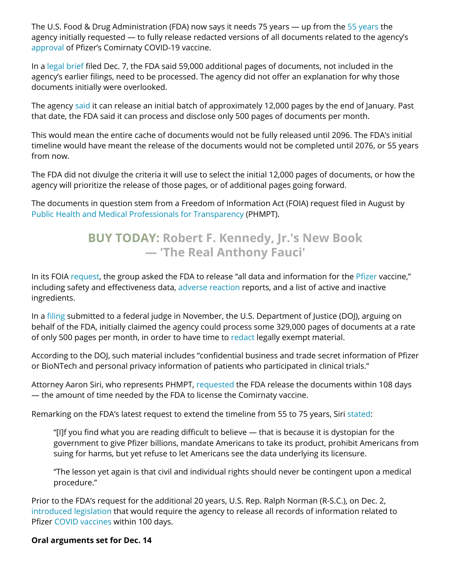The U.S. Food & Drug Administration (FDA) now says it needs 75 years — up from the 55 [years](https://childrenshealthdefense.org/defender/fda-licensing-pfizer-comirnaty-covid-vaccine/) the agency initially requested — to fully release redacted versions of all documents related to the agency's [approval](https://childrenshealthdefense.org/defender/mainstream-media-fda-approval-pfizer-vaccine/) of Pfizer's Comirnaty COVID-19 vaccine.

In a legal [brief](https://www.sirillp.com/wp-content/uploads/2021/12/FDA-Brief-and-Appendix-e3999de9aee38921cd4fbb035c33e304.pdf) filed Dec. 7, the FDA said 59,000 additional pages of documents, not included in the agency's earlier filings, need to be processed. The agency did not offer an explanation for why those documents initially were overlooked.

The agency [said](https://www.theepochtimes.com/mkt_breakingnews/fda-says-it-now-needs-75-years-to-fully-release-pfizer-covid-19-vaccine-data_4145410.html?utm_source=newsnoe&utm_medium=email&utm_campaign=breaking-2021-12-08-2&mktids=902f36705a2f729610cd4c937d87a3dc&est=Rzp1WEzkTqb3PY5oBHawpfeop2xMWMdtqRZRDZdlpU8l7qPSaQjy2%2FOL7THzYUHb) it can release an initial batch of approximately 12,000 pages by the end of January. Past that date, the FDA said it can process and disclose only 500 pages of documents per month.

This would mean the entire cache of documents would not be fully released until 2096. The FDA's initial timeline would have meant the release of the documents would not be completed until 2076, or 55 years from now.

The FDA did not divulge the criteria it will use to select the initial 12,000 pages of documents, or how the agency will prioritize the release of those pages, or of additional pages going forward.

The documents in question stem from a Freedom of Information Act (FOIA) request filed in August by Public Health and Medical Professionals for [Transparency](https://phmpt.org/) (PHMPT).

# **BUY TODAY: Robert F. Kennedy, Jr.'s New Book — 'The [Real Anthony](https://www.amazon.com/Real-Anthony-Fauci-Democracy-Childrens/dp/1510766804) Fauci'**

In its FOIA [request,](http://phmpt.org/wp-content/uploads/2021/10/IR0546-FDA-Pfizer-Approval-FINAL.pdf) the group asked the FDA to release "all data and information for the [Pfizer](https://childrenshealthdefense.org/defender/pfizer-big-pharma-lobbying-law-protecting-whistleblowers/) vaccine," including safety and effectiveness data, adverse [reaction](https://childrenshealthdefense.org/defender/ron-johnson-people-injured-covid-vaccine/) reports, and a list of active and inactive ingredients.

In a [filing](https://www.sirillp.com/wp-content/uploads/2021/11/020-Second-Joint-Status-Report-8989f1fed17e2d919391d8df1978006e.pdf) submitted to a federal judge in November, the U.S. Department of Justice (DOJ), arguing on behalf of the FDA, initially claimed the agency could process some 329,000 pages of documents at a rate of only 500 pages per month, in order to have time to [redact](https://tmsnrt.rs/3qQLwGW) legally exempt material.

According to the DOJ, such material includes "confidential business and trade secret information of Pfizer or BioNTech and personal privacy information of patients who participated in clinical trials."

Attorney Aaron Siri, who represents PHMPT, [requested](https://aaronsiri.substack.com/p/fda-doubles-down-asks-federal-judge) the FDA release the documents within 108 days — the amount of time needed by the FDA to license the Comirnaty vaccine.

Remarking on the FDA's latest request to extend the timeline from 55 to 75 years, Siri [stated:](https://aaronsiri.substack.com/p/fda-doubles-down-asks-federal-judge)

"[I]f you find what you are reading difficult to believe — that is because it is dystopian for the government to give Pfizer billions, mandate Americans to take its product, prohibit Americans from suing for harms, but yet refuse to let Americans see the data underlying its licensure.

"The lesson yet again is that civil and individual rights should never be contingent upon a medical procedure."

Prior to the FDA's request for the additional 20 years, U.S. Rep. Ralph Norman (R-S.C.), on Dec. 2, [introduced legislation](https://childrenshealthdefense.org/defender/ralph-norman-fda-pfizer-covid-vaccine-records/) that would require the agency to release all records of information related to Pfizer COVID [vaccines](https://childrenshealthdefense.org/defender_category/covid/) within 100 days.

### **Oral arguments set for Dec. 14**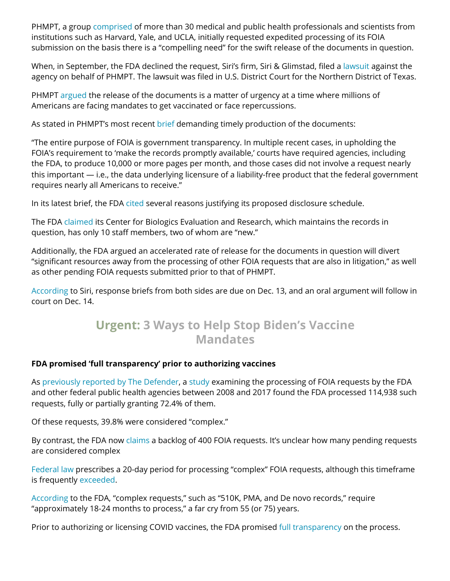PHMPT, a group [comprised](https://phmpt.org/) of more than 30 medical and public health professionals and scientists from institutions such as Harvard, Yale, and UCLA, initially requested expedited processing of its FOIA submission on the basis there is a "compelling need" for the swift release of the documents in question.

When, in September, the FDA declined the request, Siri's firm, Siri & Glimstad, filed a [lawsuit](http://phmpt.org/wp-content/uploads/2021/10/001-Complaint-101021.pdf) against the agency on behalf of PHMPT. The lawsuit was filed in U.S. District Court for the Northern District of Texas.

PHMPT [argued](https://www.theepochtimes.com/mkt_breakingnews/fda-says-it-now-needs-75-years-to-fully-release-pfizer-covid-19-vaccine-data_4145410.html?utm_source=newsnoe&utm_medium=email&utm_campaign=breaking-2021-12-08-2&mktids=902f36705a2f729610cd4c937d87a3dc&est=Rzp1WEzkTqb3PY5oBHawpfeop2xMWMdtqRZRDZdlpU8l7qPSaQjy2%2FOL7THzYUHb) the release of the documents is a matter of urgency at a time where millions of Americans are facing mandates to get vaccinated or face repercussions.

As stated in PHMPT's most recent [brief](https://www.sirillp.com/wp-content/uploads/2021/12/PHMPT-Brief-and-Appendix-d6a070167ae9767a5f711a5d21bb0a6c.pdf) demanding timely production of the documents:

"The entire purpose of FOIA is government transparency. In multiple recent cases, in upholding the FOIA's requirement to 'make the records promptly available,' courts have required agencies, including the FDA, to produce 10,000 or more pages per month, and those cases did not involve a request nearly this important — i.e., the data underlying licensure of a liability-free product that the federal government requires nearly all Americans to receive."

In its latest brief, the FDA [cited](https://www.sirillp.com/wp-content/uploads/2021/12/FDA-Brief-and-Appendix-e3999de9aee38921cd4fbb035c33e304.pdf) several reasons justifying its proposed disclosure schedule.

The FDA [claimed](https://www.theepochtimes.com/mkt_breakingnews/fda-says-it-now-needs-75-years-to-fully-release-pfizer-covid-19-vaccine-data_4145410.html?utm_source=newsnoe&utm_medium=email&utm_campaign=breaking-2021-12-08-2&mktids=902f36705a2f729610cd4c937d87a3dc&est=Rzp1WEzkTqb3PY5oBHawpfeop2xMWMdtqRZRDZdlpU8l7qPSaQjy2%2FOL7THzYUHb) its Center for Biologics Evaluation and Research, which maintains the records in question, has only 10 staff members, two of whom are "new."

Additionally, the FDA argued an accelerated rate of release for the documents in question will divert "significant resources away from the processing of other FOIA requests that are also in litigation," as well as other pending FOIA requests submitted prior to that of PHMPT.

[According](https://aaronsiri.substack.com/p/fda-doubles-down-asks-federal-judge) to Siri, response briefs from both sides are due on Dec. 13, and an oral argument will follow in court on Dec. 14.

## **Urgent: 3 Ways to Help Stop Biden's Vaccine [Mandates](https://childrenshealthdefense.org/defender/help-stop-biden-vaccine-mandates/)**

### **FDA promised 'full transparency' prior to authorizing vaccines**

As previously [reported by](https://childrenshealthdefense.org/defender/fda-licensing-pfizer-comirnaty-covid-vaccine/) The Defender, a [study](https://researchintegrityjournal.biomedcentral.com/articles/10.1186/s41073-019-0086-2) examining the processing of FOIA requests by the FDA and other federal public health agencies between 2008 and 2017 found the FDA processed 114,938 such requests, fully or partially granting 72.4% of them.

Of these requests, 39.8% were considered "complex."

By contrast, the FDA now [claims](https://www.reuters.com/legal/government/wait-what-fda-wants-55-years-process-foia-request-over-vaccine-data-2021-11-18/) a backlog of 400 FOIA requests. It's unclear how many pending requests are considered complex

[Federal](https://www.justice.gov/archives/open/responding-requests) law prescribes a 20-day period for processing "complex" FOIA requests, although this timeframe is frequently [exceeded](https://researchintegrityjournal.biomedcentral.com/articles/10.1186/s41073-019-0086-2).

[According](https://www.fda.gov/regulatory-information/freedom-information/how-make-foia-request) to the FDA, "complex requests," such as "510K, PMA, and De novo records," require "approximately 18-24 months to process," a far cry from 55 (or 75) years.

Prior to authorizing or licensing COVID vaccines, the FDA promised full [transparency](https://www.fda.gov/news-events/press-announcements/coronavirus-covid-19-update-fda-announces-advisory-committee-meeting-discuss-second-covid-19-vaccine) on the process.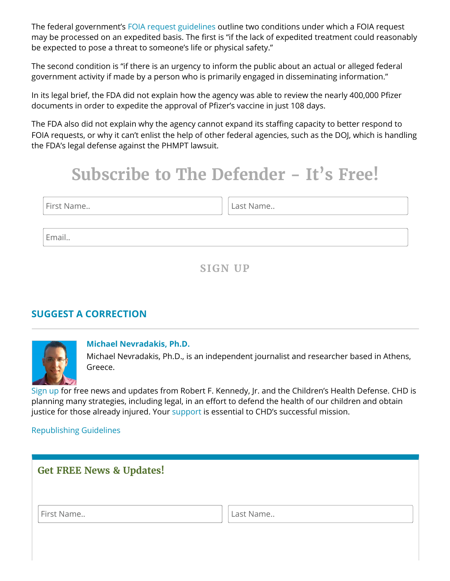The federal government's FOIA request [guidelines](https://www.foia.gov/faq.html) outline two conditions under which a FOIA request may be processed on an expedited basis. The first is "if the lack of expedited treatment could reasonably be expected to pose a threat to someone's life or physical safety."

The second condition is "if there is an urgency to inform the public about an actual or alleged federal government activity if made by a person who is primarily engaged in disseminating information."

In its legal brief, the FDA did not explain how the agency was able to review the nearly 400,000 Pfizer documents in order to expedite the approval of Pfizer's vaccine in just 108 days.

The FDA also did not explain why the agency cannot expand its staffing capacity to better respond to FOIA requests, or why it can't enlist the help of other federal agencies, such as the DOJ, which is handling the FDA's legal defense against the PHMPT lawsuit.

# **Subscribe to The Defender - It's Free!**

First Name.. **Last Name.. Last Name..** 

Email..

**SIGN UP**

## **SUGGEST A [CORRECTION](https://childrenshealthdefense.org/suggest-a-correction/)**



### **[Michael Nevradakis,](https://childrenshealthdefense.org/authors/michael-nevradakis-ph-d/) Ph.D.**

Michael Nevradakis, Ph.D., is an independent journalist and researcher based in Athens, Greece.

[Sign](https://childrenshealthdefense.org/about-us/sign-up/) up for free news and updates from Robert F. Kennedy, Jr. and the Children's Health Defense. CHD is planning many strategies, including legal, in an effort to defend the health of our children and obtain justice for those already injured. Your [support](https://childrenshealthdefense.org/about-us/donate/) is essential to CHD's successful mission.

### [Republishing](https://childrenshealthdefense.org/uncategorized/re-publishing-guidelines/) Guidelines

<span id="page-3-0"></span>

| <b>Get FREE News &amp; Updates!</b> |           |
|-------------------------------------|-----------|
| First Name                          | Last Name |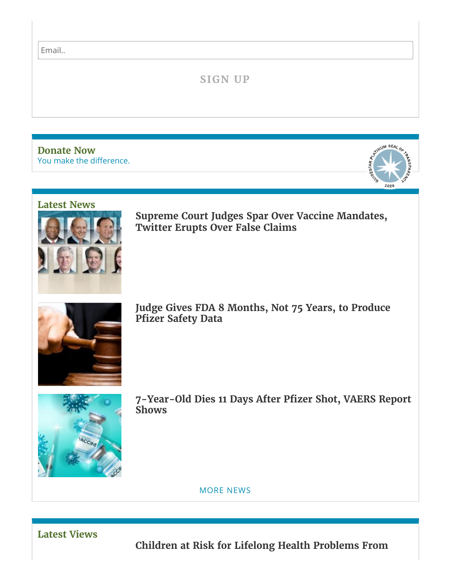Email..

## **SIGN UP**

You make the [difference.](https://childrenshealthdefense.org/about-us/donate) **[Donate](https://childrenshealthdefense.org/about-us/donate) Now**



#### **[Latest](https://childrenshealthdefense.org/defender-news) News**



**Supreme Court Judges Spar Over Vaccine Mandates, Twitter [Erupts Over](https://childrenshealthdefense.org/defender/supreme-court-vaccine-mandates-false-claims/) False Claims**



**Judge [Gives FDA](https://childrenshealthdefense.org/defender/fda-eight-months-produce-pfizer-safety-data/) 8 Months, Not 75 Years, to Produce Pfizer Safety Data**



**[7-Year-Old](https://childrenshealthdefense.org/defender/vaers-cdc-child-dies-pfizer-covid-vaccine/) Dies 11 Days After Pfizer Shot, VAERS Report Shows**

[MORE](https://childrenshealthdefense.org/defender-news) NEWS

**[Latest](https://childrenshealthdefense.org/defender-views) Views**

**Children at Risk for Lifelong Health [Problems From](https://childrenshealthdefense.org/defender/children-risk-lifelong-health-problems-covid-vaccine/)**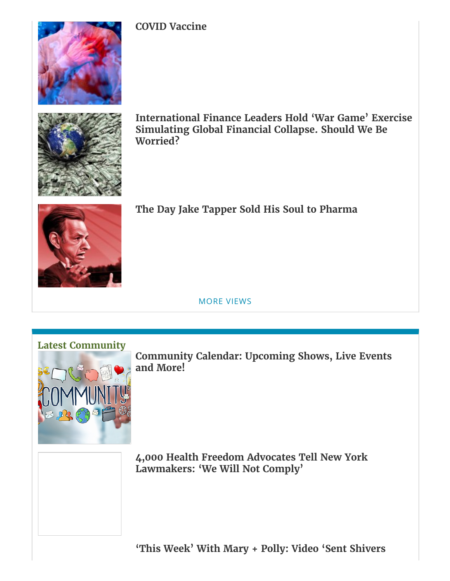

**COVID [Vaccine](https://childrenshealthdefense.org/defender/children-risk-lifelong-health-problems-covid-vaccine/)**



**[International](https://childrenshealthdefense.org/defender/leaders-war-game-exercise-global-financial-collapse/) Finance Leaders Hold 'War Game' Exercise Simulating Global Financial Collapse. Should We Be Worried?**



## **The Day Jake Tapper Sold His Soul to [Pharma](https://childrenshealthdefense.org/defender/jake-tapper-sold-soul-pharma-rfk-jr/)**

MORE [VIEWS](https://childrenshealthdefense.org/defender-views)



**[Community](https://live.childrenshealthdefense.org/community/community-calendar) Calendar: Upcoming Shows, Live Events and More!**

**4,000 Health Freedom [Advocates Tell](https://childrenshealthdefense.org/defender/health-freedom-advocates-new-york-we-will-not-comply/) New York Lawmakers: 'We Will Not Comply'**

**['This Week'](https://childrenshealthdefense.org/defender/mary-polly-chd-tv-robert-malone-covid-vaccines/) With Mary + Polly: Video 'Sent Shivers**